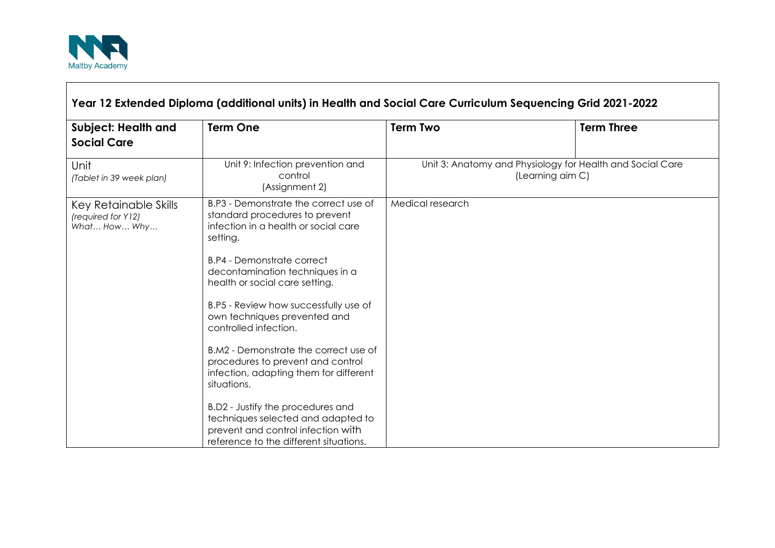

 $\Gamma$ 

| Year 12 Extended Diploma (additional units) in Health and Social Care Curriculum Sequencing Grid 2021-2022 |                                                                                                                                                                                                                                                                                                                                                                                                                                                                                                                                                                                                                                           |                                                                               |                   |
|------------------------------------------------------------------------------------------------------------|-------------------------------------------------------------------------------------------------------------------------------------------------------------------------------------------------------------------------------------------------------------------------------------------------------------------------------------------------------------------------------------------------------------------------------------------------------------------------------------------------------------------------------------------------------------------------------------------------------------------------------------------|-------------------------------------------------------------------------------|-------------------|
| <b>Subject: Health and</b><br><b>Social Care</b>                                                           | <b>Term One</b>                                                                                                                                                                                                                                                                                                                                                                                                                                                                                                                                                                                                                           | <b>Term Two</b>                                                               | <b>Term Three</b> |
| Unit<br>(Tablet in 39 week plan)                                                                           | Unit 9: Infection prevention and<br>control<br>(Assignment 2)                                                                                                                                                                                                                                                                                                                                                                                                                                                                                                                                                                             | Unit 3: Anatomy and Physiology for Health and Social Care<br>(Learning aim C) |                   |
| Key Retainable Skills<br>(required for Y12)<br>What How Why                                                | B.P3 - Demonstrate the correct use of<br>standard procedures to prevent<br>infection in a health or social care<br>setting.<br><b>B.P4 - Demonstrate correct</b><br>decontamination techniques in a<br>health or social care setting.<br>B.P5 - Review how successfully use of<br>own techniques prevented and<br>controlled infection.<br>B.M2 - Demonstrate the correct use of<br>procedures to prevent and control<br>infection, adapting them for different<br>situations.<br>B.D2 - Justify the procedures and<br>techniques selected and adapted to<br>prevent and control infection with<br>reference to the different situations. | Medical research                                                              |                   |

┑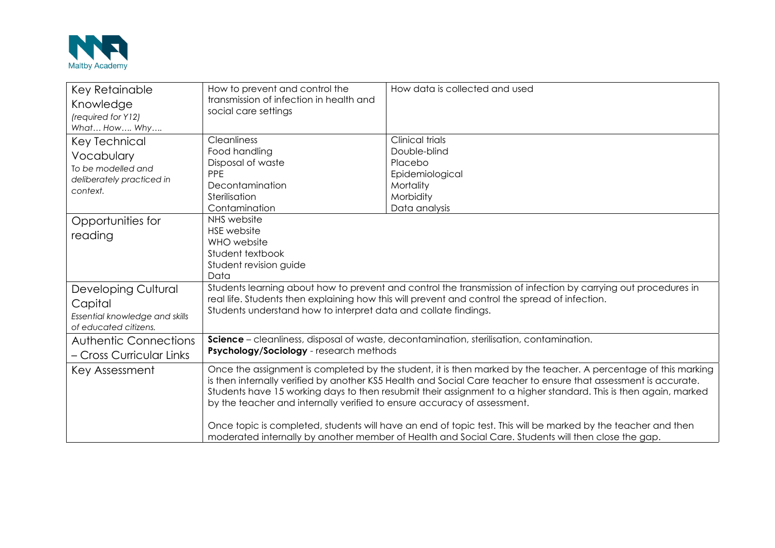

| Key Retainable<br>Knowledge<br>(required for Y12)<br>What How Why                                 | How to prevent and control the<br>transmission of infection in health and<br>social care settings                                                                                                                                                                                                                                                                                                                                                                                                                                                                                                                                                           | How data is collected and used                                                                                  |  |
|---------------------------------------------------------------------------------------------------|-------------------------------------------------------------------------------------------------------------------------------------------------------------------------------------------------------------------------------------------------------------------------------------------------------------------------------------------------------------------------------------------------------------------------------------------------------------------------------------------------------------------------------------------------------------------------------------------------------------------------------------------------------------|-----------------------------------------------------------------------------------------------------------------|--|
| <b>Key Technical</b><br>Vocabulary<br>To be modelled and<br>deliberately practiced in<br>context. | <b>Cleanliness</b><br>Food handling<br>Disposal of waste<br>PPE<br>Decontamination<br>Sterilisation<br>Contamination                                                                                                                                                                                                                                                                                                                                                                                                                                                                                                                                        | <b>Clinical trials</b><br>Double-blind<br>Placebo<br>Epidemiological<br>Mortality<br>Morbidity<br>Data analysis |  |
| Opportunities for<br>reading                                                                      | NHS website<br><b>HSE</b> website<br>WHO website<br>Student textbook<br>Student revision guide<br>Data                                                                                                                                                                                                                                                                                                                                                                                                                                                                                                                                                      |                                                                                                                 |  |
| <b>Developing Cultural</b><br>Capital<br>Essential knowledge and skills<br>of educated citizens.  | Students learning about how to prevent and control the transmission of infection by carrying out procedures in<br>real life. Students then explaining how this will prevent and control the spread of infection.<br>Students understand how to interpret data and collate findings.                                                                                                                                                                                                                                                                                                                                                                         |                                                                                                                 |  |
| <b>Authentic Connections</b><br>- Cross Curricular Links                                          | Science - cleanliness, disposal of waste, decontamination, sterilisation, contamination.<br>Psychology/Sociology - research methods                                                                                                                                                                                                                                                                                                                                                                                                                                                                                                                         |                                                                                                                 |  |
| Key Assessment                                                                                    | Once the assignment is completed by the student, it is then marked by the teacher. A percentage of this marking<br>is then internally verified by another KS5 Health and Social Care teacher to ensure that assessment is accurate.<br>Students have 15 working days to then resubmit their assignment to a higher standard. This is then again, marked<br>by the teacher and internally verified to ensure accuracy of assessment.<br>Once topic is completed, students will have an end of topic test. This will be marked by the teacher and then<br>moderated internally by another member of Health and Social Care. Students will then close the gap. |                                                                                                                 |  |